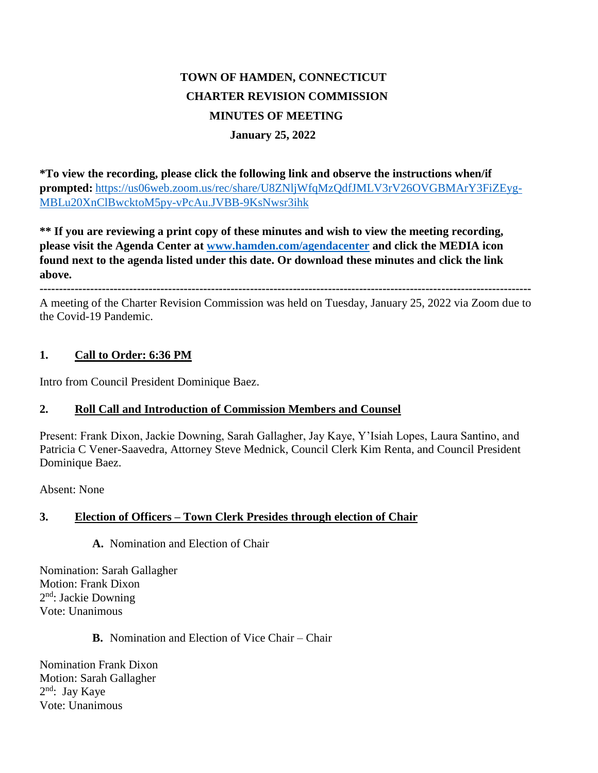# **TOWN OF HAMDEN, CONNECTICUT CHARTER REVISION COMMISSION MINUTES OF MEETING January 25, 2022**

**\*To view the recording, please click the following link and observe the instructions when/if prompted:** [https://us06web.zoom.us/rec/share/U8ZNljWfqMzQdfJMLV3rV26OVGBMArY3FiZEyg-](https://us06web.zoom.us/rec/share/U8ZNljWfqMzQdfJMLV3rV26OVGBMArY3FiZEygMBLu20XnClBwcktoM5py-vPcAu.JVBB-9KsNwsr3ihk)[MBLu20XnClBwcktoM5py-vPcAu.JVBB-9KsNwsr3ihk](https://us06web.zoom.us/rec/share/U8ZNljWfqMzQdfJMLV3rV26OVGBMArY3FiZEygMBLu20XnClBwcktoM5py-vPcAu.JVBB-9KsNwsr3ihk)

**\*\* If you are reviewing a print copy of these minutes and wish to view the meeting recording, please visit the Agenda Center at [www.hamden.com/agendacenter](http://www.hamden.com/agendacenter) and click the MEDIA icon found next to the agenda listed under this date. Or download these minutes and click the link above.**

**------------------------------------------------------------------------------------------------------------------------------** A meeting of the Charter Revision Commission was held on Tuesday, January 25, 2022 via Zoom due to the Covid-19 Pandemic.

#### **1. Call to Order: 6:36 PM**

Intro from Council President Dominique Baez.

#### **2. Roll Call and Introduction of Commission Members and Counsel**

Present: Frank Dixon, Jackie Downing, Sarah Gallagher, Jay Kaye, Y'Isiah Lopes, Laura Santino, and Patricia C Vener-Saavedra, Attorney Steve Mednick, Council Clerk Kim Renta, and Council President Dominique Baez.

Absent: None

#### **3. Election of Officers – Town Clerk Presides through election of Chair**

**A.** Nomination and Election of Chair

Nomination: Sarah Gallagher Motion: Frank Dixon 2<sup>nd</sup>: Jackie Downing Vote: Unanimous

#### **B.** Nomination and Election of Vice Chair – Chair

Nomination Frank Dixon Motion: Sarah Gallagher 2 nd: Jay Kaye Vote: Unanimous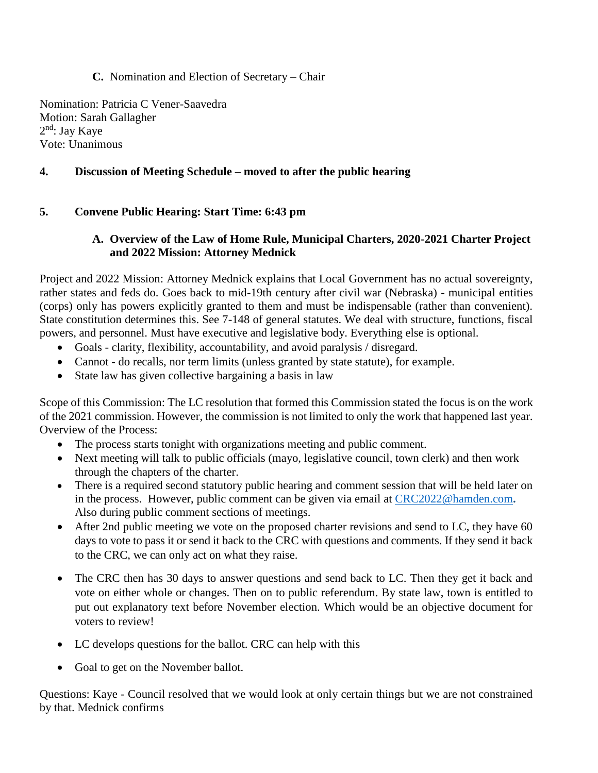#### **C.** Nomination and Election of Secretary – Chair

Nomination: Patricia C Vener-Saavedra Motion: Sarah Gallagher 2<sup>nd</sup>: Jay Kaye Vote: Unanimous

## **4. Discussion of Meeting Schedule – moved to after the public hearing**

## **5. Convene Public Hearing: Start Time: 6:43 pm**

### **A. Overview of the Law of Home Rule, Municipal Charters, 2020-2021 Charter Project and 2022 Mission: Attorney Mednick**

Project and 2022 Mission: Attorney Mednick explains that Local Government has no actual sovereignty, rather states and feds do. Goes back to mid-19th century after civil war (Nebraska) - municipal entities (corps) only has powers explicitly granted to them and must be indispensable (rather than convenient). State constitution determines this. See 7-148 of general statutes. We deal with structure, functions, fiscal powers, and personnel. Must have executive and legislative body. Everything else is optional.

- Goals clarity, flexibility, accountability, and avoid paralysis / disregard.
- Cannot do recalls, nor term limits (unless granted by state statute), for example.
- State law has given collective bargaining a basis in law

Scope of this Commission: The LC resolution that formed this Commission stated the focus is on the work of the 2021 commission. However, the commission is not limited to only the work that happened last year. Overview of the Process:

- The process starts tonight with organizations meeting and public comment.
- Next meeting will talk to public officials (mayo, legislative council, town clerk) and then work through the chapters of the charter.
- There is a required second statutory public hearing and comment session that will be held later on in the process. However, public comment can be given via email at [CRC2022@hamden.com](mailto:CRC2022@hamden.com)**.**  Also during public comment sections of meetings.
- After 2nd public meeting we vote on the proposed charter revisions and send to LC, they have 60 days to vote to pass it or send it back to the CRC with questions and comments. If they send it back to the CRC, we can only act on what they raise.
- The CRC then has 30 days to answer questions and send back to LC. Then they get it back and vote on either whole or changes. Then on to public referendum. By state law, town is entitled to put out explanatory text before November election. Which would be an objective document for voters to review!
- LC develops questions for the ballot. CRC can help with this
- Goal to get on the November ballot.

Questions: Kaye - Council resolved that we would look at only certain things but we are not constrained by that. Mednick confirms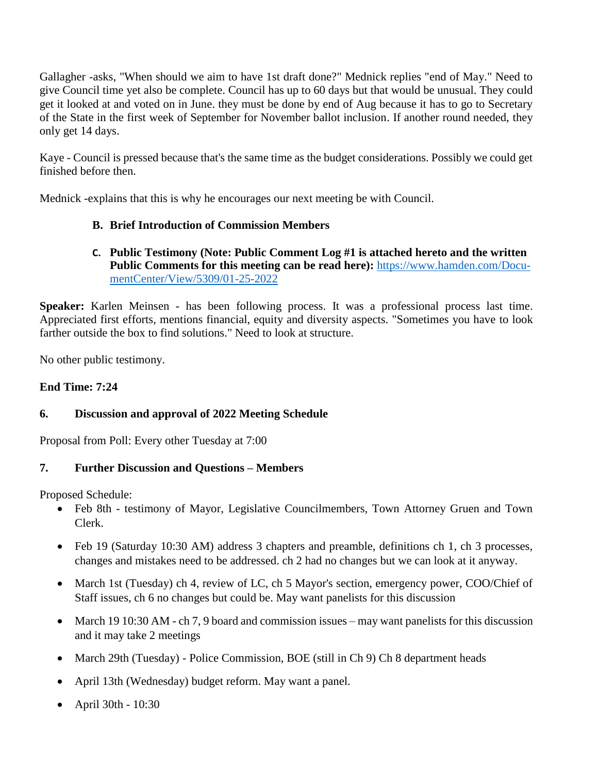Gallagher -asks, "When should we aim to have 1st draft done?" Mednick replies "end of May." Need to give Council time yet also be complete. Council has up to 60 days but that would be unusual. They could get it looked at and voted on in June. they must be done by end of Aug because it has to go to Secretary of the State in the first week of September for November ballot inclusion. If another round needed, they only get 14 days.

Kaye - Council is pressed because that's the same time as the budget considerations. Possibly we could get finished before then.

Mednick -explains that this is why he encourages our next meeting be with Council.

## **B. Brief Introduction of Commission Members**

#### **C. Public Testimony (Note: Public Comment Log #1 is attached hereto and the written Public Comments for this meeting can be read here):** [https://www.hamden.com/Docu](https://www.hamden.com/DocumentCenter/View/5309/01-25-2022)[mentCenter/View/5309/01-25-2022](https://www.hamden.com/DocumentCenter/View/5309/01-25-2022)

**Speaker:** Karlen Meinsen - has been following process. It was a professional process last time. Appreciated first efforts, mentions financial, equity and diversity aspects. "Sometimes you have to look farther outside the box to find solutions." Need to look at structure.

No other public testimony.

## **End Time: 7:24**

## **6. Discussion and approval of 2022 Meeting Schedule**

Proposal from Poll: Every other Tuesday at 7:00

## **7. Further Discussion and Questions – Members**

Proposed Schedule:

- Feb 8th testimony of Mayor, Legislative Councilmembers, Town Attorney Gruen and Town Clerk.
- Feb 19 (Saturday 10:30 AM) address 3 chapters and preamble, definitions ch 1, ch 3 processes, changes and mistakes need to be addressed. ch 2 had no changes but we can look at it anyway.
- March 1st (Tuesday) ch 4, review of LC, ch 5 Mayor's section, emergency power, COO/Chief of Staff issues, ch 6 no changes but could be. May want panelists for this discussion
- March 19 10:30 AM ch 7, 9 board and commission issues may want panelists for this discussion and it may take 2 meetings
- March 29th (Tuesday) Police Commission, BOE (still in Ch 9) Ch 8 department heads
- April 13th (Wednesday) budget reform. May want a panel.
- April 30th 10:30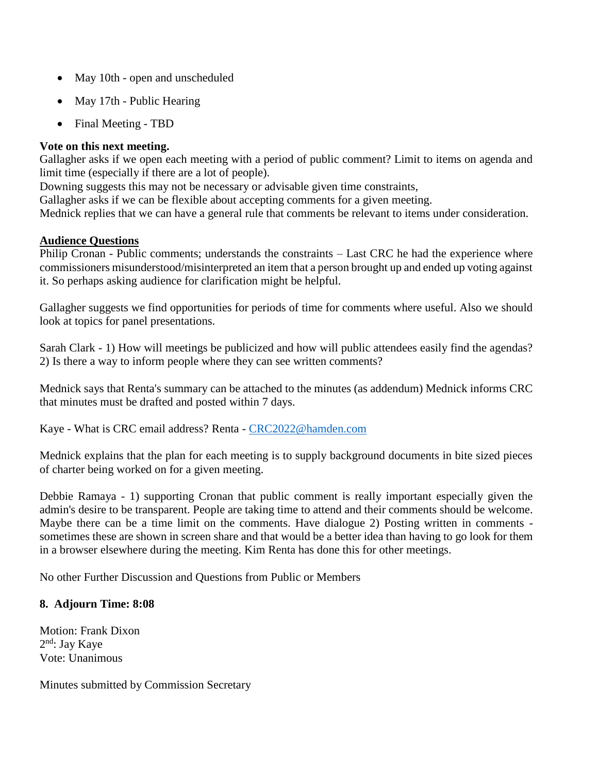- May 10th open and unscheduled
- May 17th Public Hearing
- Final Meeting TBD

#### **Vote on this next meeting.**

Gallagher asks if we open each meeting with a period of public comment? Limit to items on agenda and limit time (especially if there are a lot of people).

Downing suggests this may not be necessary or advisable given time constraints,

Gallagher asks if we can be flexible about accepting comments for a given meeting.

Mednick replies that we can have a general rule that comments be relevant to items under consideration.

#### **Audience Questions**

Philip Cronan - Public comments; understands the constraints – Last CRC he had the experience where commissioners misunderstood/misinterpreted an item that a person brought up and ended up voting against it. So perhaps asking audience for clarification might be helpful.

Gallagher suggests we find opportunities for periods of time for comments where useful. Also we should look at topics for panel presentations.

Sarah Clark - 1) How will meetings be publicized and how will public attendees easily find the agendas? 2) Is there a way to inform people where they can see written comments?

Mednick says that Renta's summary can be attached to the minutes (as addendum) Mednick informs CRC that minutes must be drafted and posted within 7 days.

Kaye - What is CRC email address? Renta - [CRC2022@hamden.com](mailto:CRC2022@hamden.com)

Mednick explains that the plan for each meeting is to supply background documents in bite sized pieces of charter being worked on for a given meeting.

Debbie Ramaya - 1) supporting Cronan that public comment is really important especially given the admin's desire to be transparent. People are taking time to attend and their comments should be welcome. Maybe there can be a time limit on the comments. Have dialogue 2) Posting written in comments sometimes these are shown in screen share and that would be a better idea than having to go look for them in a browser elsewhere during the meeting. Kim Renta has done this for other meetings.

No other Further Discussion and Questions from Public or Members

#### **8. Adjourn Time: 8:08**

Motion: Frank Dixon 2<sup>nd</sup>: Jay Kaye Vote: Unanimous

Minutes submitted by Commission Secretary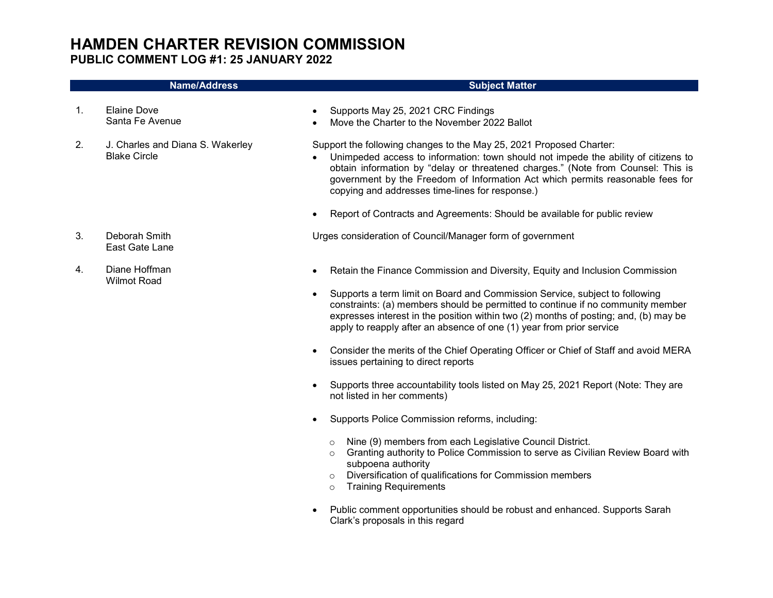## HAMDEN CHARTER REVISION COMMISSION PUBLIC COMMENT LOG #1: 25 JANUARY 2022

#### Name/Address Subject Matter 1. Elaine Dove Santa Fe Avenue Supports May 25, 2021 CRC Findings Move the Charter to the November 2022 Ballot 2. J. Charles and Diana S. Wakerley Blake Circle Support the following changes to the May 25, 2021 Proposed Charter: Unimpeded access to information: town should not impede the ability of citizens to obtain information by "delay or threatened charges." (Note from Counsel: This is government by the Freedom of Information Act which permits reasonable fees for copying and addresses time-lines for response.) • Report of Contracts and Agreements: Should be available for public review 3. Deborah Smith East Gate Lane Urges consideration of Council/Manager form of government 4. Diane Hoffman Wilmot Road Retain the Finance Commission and Diversity, Equity and Inclusion Commission Supports a term limit on Board and Commission Service, subject to following constraints: (a) members should be permitted to continue if no community member expresses interest in the position within two (2) months of posting; and, (b) may be apply to reapply after an absence of one (1) year from prior service Consider the merits of the Chief Operating Officer or Chief of Staff and avoid MERA issues pertaining to direct reports Supports three accountability tools listed on May 25, 2021 Report (Note: They are not listed in her comments)

- Supports Police Commission reforms, including:
	- o Nine (9) members from each Legislative Council District.
	- o Granting authority to Police Commission to serve as Civilian Review Board with subpoena authority
	- o Diversification of qualifications for Commission members
	- o Training Requirements
- Public comment opportunities should be robust and enhanced. Supports Sarah Clark's proposals in this regard